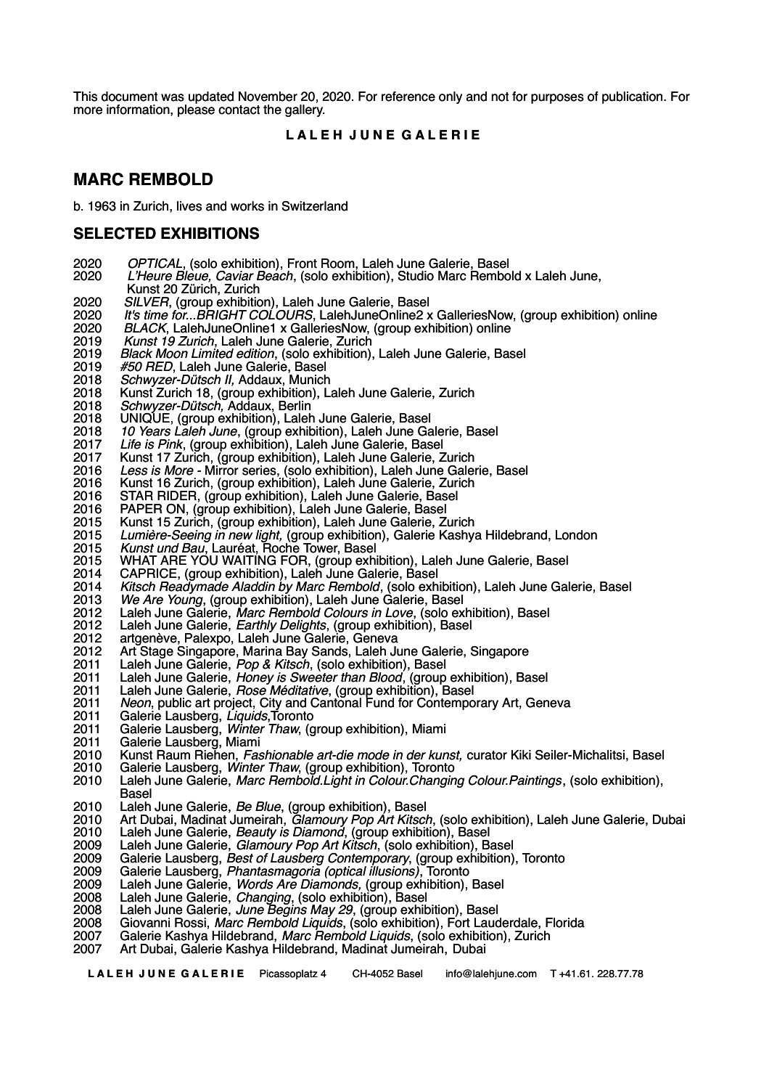This document was updated November 20, 2020. For reference only and not for purposes of publication. For more information, please contact the gallery.

# **L A L E H J U N E G A L E R I E**

# **MARC REMBOLD**

b. 1963 in Zurich, lives and works in Switzerland

# **SELECTED EXHIBITIONS**

- *OPTICAL*, (solo exhibition), Front Room, Laleh June Galerie, Basel
- *L'Heure Bleue, Caviar Beach*, (solo exhibition), Studio Marc Rembold x Laleh June,
- Kunst 20 Zürich, Zurich
- *SILVER*, (group exhibition), Laleh June Galerie, Basel
- *It's time for...BRIGHT COLOURS*, LalehJuneOnline2 x GalleriesNow, (group exhibition) online
- *BLACK*, LalehJuneOnline1 x GalleriesNow, (group exhibition) online
- *Kunst 19 Zurich*, Laleh June Galerie, Zurich
- *Black Moon Limited edition*, (solo exhibition), Laleh June Galerie, Basel
- *#50 RED*, Laleh June Galerie, Basel
- *Schwyzer-Dütsch II,* Addaux, Munich
- 2018 Kunst Zurich 18, (group exhibition), Laleh June Galerie, Zurich<br>2018 *Schwyzer-Dütsch, Addaux, Berlin*
- *Schwyzer-Dütsch,* Addaux, Berlin
- 2018 UNIQUE, (group exhibition), Laleh June Galerie, Basel<br>2018 10 Years Laleh June, (group exhibition), Laleh June Ga
- *10 Years Laleh June*, (group exhibition), Laleh June Galerie, Basel
- *Life is Pink*, (group exhibition), Laleh June Galerie, Basel
- 2017 Kunst 17 Zurich, (group exhibition), Laleh June Galerie, Zurich<br>2016 Less is More Mirror series, (solo exhibition), Laleh June Gale
- *Less is More* Mirror series, (solo exhibition), Laleh June Galerie, Basel
- Kunst 16 Zurich, (group exhibition), Laleh June Galerie, Zurich
- STAR RIDER, (group exhibition), Laleh June Galerie, Basel
- PAPER ON, (group exhibition), Laleh June Galerie, Basel
- 2015 Kunst 15 Zurich, (group exhibition), Laleh June Galerie, Zurich<br>2015 Lumière-Seeing in new light, (group exhibition), Galerie Kashy
- *Lumière-Seeing in new light,* (group exhibition), Galerie Kashya Hildebrand, London
- *Kunst und Bau*, Lauréat, Roche Tower, Basel
- 2015 WHAT ARE YOU WAITING FOR, (group exhibition), Laleh June Galerie, Basel<br>2014 CAPRICE, (group exhibition), Laleh June Galerie, Basel
- 2014 CAPRICE, (group exhibition), Laleh June Galerie, Basel<br>2014 Kitsch Readymade Aladdin by Marc Rembold, (solo exh
- *Kitsch Readymade Aladdin by Marc Rembold*, (solo exhibition), Laleh June Galerie, Basel
- *We Are Young*, (group exhibition), Laleh June Galerie, Basel
- Laleh June Galerie, *Marc Rembold Colours in Love*, (solo exhibition), Basel
- Laleh June Galerie, *Earthly Delights*, (group exhibition), Basel
- artgenève, Palexpo, Laleh June Galerie, Geneva
- Art Stage Singapore, Marina Bay Sands, Laleh June Galerie, Singapore
- Laleh June Galerie, *Pop & Kitsch*, (solo exhibition), Basel
- Laleh June Galerie, *Honey is Sweeter than Blood*, (group exhibition), Basel
- Laleh June Galerie, *Rose Méditative*, (group exhibition), Basel
- 2011 *Neon*, public art project, City and Cantonal Fund for Contemporary Art, Geneva<br>2011 Galerie Lausberg, *Liquids* Toronto
- Galerie Lausberg, *Liquids*,Toronto
- Galerie Lausberg, *Winter Thaw*, (group exhibition), Miami
- 2011 Galerie Lausberg, Miami<br>2010 Kunst Raum Riehen, Fas
- Kunst Raum Riehen, *Fashionable art-die mode in der kunst,* curator Kiki Seiler-Michalitsi, Basel
- Galerie Lausberg, *Winter Thaw*, (group exhibition), Toronto
- Laleh June Galerie, *Marc Rembold.Light in Colour.Changing Colour.Paintings*, (solo exhibition), Basel
- Laleh June Galerie, *Be Blue*, (group exhibition), Basel
- Art Dubai, Madinat Jumeirah, *Glamoury Pop Art Kitsch*, (solo exhibition), Laleh June Galerie, Dubai
- Laleh June Galerie, *Beauty is Diamond*, (group exhibition), Basel
- Laleh June Galerie, *Glamoury Pop Art Kitsch*, (solo exhibition), Basel
- Galerie Lausberg, *Best of Lausberg Contemporary*, (group exhibition), Toronto
- Galerie Lausberg, *Phantasmagoria (optical illusions)*, Toronto
- Laleh June Galerie, *Words Are Diamonds,* (group exhibition), Basel
- Laleh June Galerie, *Changing*, (solo exhibition), Basel
- Laleh June Galerie, *June Begins May 29*, (group exhibition), Basel
- Giovanni Rossi, *Marc Rembold Liquids*, (solo exhibition), Fort Lauderdale, Florida
- Galerie Kashya Hildebrand, *Marc Rembold Liquids*, (solo exhibition), Zurich
- Art Dubai, Galerie Kashya Hildebrand, Madinat Jumeirah, Dubai

**L A L E H J U N E G A L E R I E** Picassoplatz 4 CH-4052 Basel info@lalehjune.com T +41.61. 228.77.78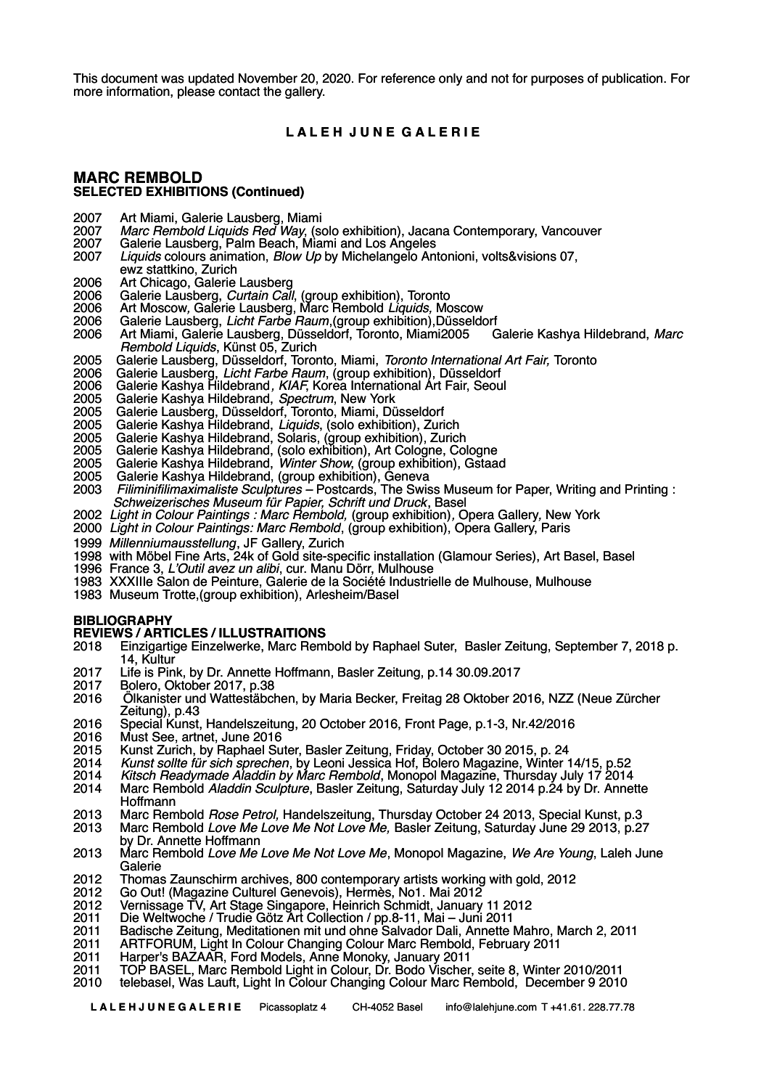This document was updated November 20, 2020. For reference only and not for purposes of publication. For more information, please contact the gallery.

## **L A L E H J U N E G A L E R I E**

## **MARC REMBOLD SELECTED EXHIBITIONS (Continued)**

- 2007 Art Miami, Galerie Lausberg, Miami<br>2007 Marc Rembold Liquids Red Way, (s
- 2007 *Marc Rembold Liquids Red Way*, (solo exhibition), Jacana Contemporary, Vancouver
- 2007 Galerie Lausberg, Palm Beach, Miami and Los Angeles<br>2007 Liquids colours animation. Blow Up by Michelangelo An
- 2007 *Liquids* colours animation, *Blow Up* by Michelangelo Antonioni, volts&visions 07, ewz stattkino, Zurich
- 2006 Art Chicago, Galerie Lausberg
- 2006 Galerie Lausberg, *Curtain Call*, (group exhibition), Toronto
- 2006 Art Moscow*,* Galerie Lausberg, Marc Rembold *Liquids,* Moscow
- 2006 Galerie Lausberg, *Licht Farbe Raum*,(group exhibition),Düsseldorf
- 2006 Art Miami, Galerie Lausberg, Düsseldorf, Toronto, Miami2005 Galerie Kashya Hildebrand, *Marc Rembold Liquids*, Künst 05, Zurich
- 2005 Galerie Lausberg, Düsseldorf, Toronto, Miami, *Toronto International Art Fair,* Toronto
- 2006 Galerie Lausberg, *Licht Farbe Raum*, (group exhibition), Düsseldorf
- 2006 Galerie Kashya Hildebrand*, KIAF*, Korea International Art Fair, Seoul
- 2005 Galerie Kashya Hildebrand, *Spectrum*, New York
- 2005 Galerie Lausberg, Düsseldorf, Toronto, Miami, Düsseldorf
- 2005 Galerie Kashya Hildebrand, *Liquids*, (solo exhibition), Zurich
- 2005 Galerie Kashya Hildebrand, Solaris, (group exhibition), Zurich
- 2005 Galerie Kashya Hildebrand, (solo exhibition), Art Cologne, Cologne
- 2005 Galerie Kashya Hildebrand, *Winter Show*, (group exhibition), Gstaad
- 2005 Galerie Kashya Hildebrand, (group exhibition), Geneva
- 2003 *Filiminifilimaximaliste Sculptures* Postcards, The Swiss Museum for Paper, Writing and Printing : *Schweizerisches Museum für Papier, Schrift und Druck*, Basel
- 2002 *Light in Colour Paintings : Marc Rembold,* (group exhibition)*,* Opera Gallery*,* New York
- 2000 *Light in Colour Paintings: Marc Rembold*, (group exhibition), Opera Gallery, Paris
- 1999 *Millenniumausstellung*, JF Gallery, Zurich
- 1998 with Möbel Fine Arts, 24k of Gold site-specific installation (Glamour Series), Art Basel, Basel
- 1996 France 3, *L'Outil avez un alibi*, cur. Manu Dörr, Mulhouse
- 1983 XXXIIIe Salon de Peinture, Galerie de la Société Industrielle de Mulhouse, Mulhouse
- 1983 Museum Trotte,(group exhibition), Arlesheim/Basel

#### **BIBLIOGRAPHY**

# **REVIEWS / ARTICLES / ILLUSTRAITIONS**

- 2018 Einzigartige Einzelwerke, Marc Rembold by Raphael Suter, Basler Zeitung, September 7, 2018 p. 14, Kultur
- 2017 Life is Pink, by Dr. Annette Hoffmann, Basler Zeitung, p.14 30.09.2017
- 2017 Bolero, Oktober 2017, p.38
- 2016 Ölkanister und Wattestäbchen, by Maria Becker, Freitag 28 Oktober 2016, NZZ (Neue Zürcher Zeitung), p.43
- 2016 Special Kunst, Handelszeitung, 20 October 2016, Front Page, p.1-3, Nr.42/2016
- 2016 Must See, artnet, June 2016
- 2015 Kunst Zurich, by Raphael Suter, Basler Zeitung, Friday, October 30 2015, p. 24
- 2014 *Kunst sollte für sich sprechen*, by Leoni Jessica Hof, Bolero Magazine, Winter 14/15, p.52
- 2014 *Kitsch Readymade Aladdin by Marc Rembold*, Monopol Magazine, Thursday July 17 2014
- 2014 Marc Rembold *Aladdin Sculpture*, Basler Zeitung, Saturday July 12 2014 p.24 by Dr. Annette Hoffmann
- 2013 Marc Rembold *Rose Petrol,* Handelszeitung, Thursday October 24 2013, Special Kunst, p.3
- 2013 Marc Rembold *Love Me Love Me Not Love Me,* Basler Zeitung, Saturday June 29 2013, p.27 by Dr. Annette Hoffmann
- 2013 Marc Rembold *Love Me Love Me Not Love Me*, Monopol Magazine, *We Are Young*, Laleh June Galerie
- 2012 Thomas Zaunschirm archives, 800 contemporary artists working with gold, 2012<br>2012 Go Out! (Magazine Culturel Genevois), Hermès, No1. Mai 2012
- 2012 Go Out! (Magazine Culturel Genevois), Hermès, No1. Mai 2012
- 2012 Vernissage TV, Art Stage Singapore, Heinrich Schmidt, January 11 2012
- 2011 Die Weltwoche / Trudie Götz Art Collection / pp.8-11, Mai Juni 2011
- 2011 Badische Zeitung, Meditationen mit und ohne Salvador Dali, Annette Mahro, March 2, 2011
- 2011 ARTFORUM, Light In Colour Changing Colour Marc Rembold, February 2011
- 2011 Harper's BAZAAR, Ford Models, Anne Monoky, January 2011
- 2011 TOP BASEL, Marc Rembold Light in Colour, Dr. Bodo Vischer, seite 8, Winter 2010/2011
- 2010 telebasel, Was Lauft, Light In Colour Changing Colour Marc Rembold, December 9 2010

 **L A L E H J U N E G A L E R I E** Picassoplatz 4 CH-4052 Basel info@lalehjune.com T +41.61. 228.77.78